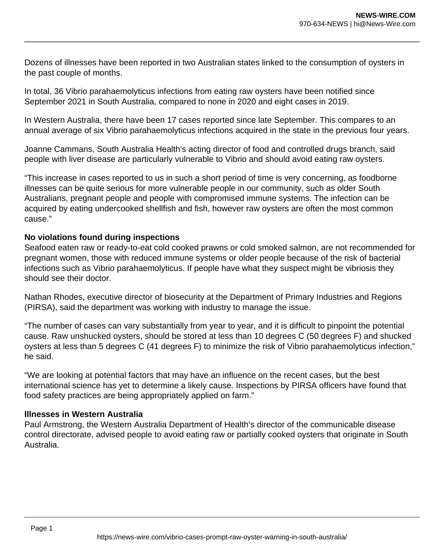Dozens of illnesses have been reported in two Australian states linked to the consumption of oysters in the past couple of months.

In total, 36 Vibrio parahaemolyticus infections from eating raw oysters have been notified since September 2021 in South Australia, compared to none in 2020 and eight cases in 2019.

In Western Australia, there have been 17 cases reported since late September. This compares to an annual average of six Vibrio parahaemolyticus infections acquired in the state in the previous four years.

Joanne Cammans, South Australia Health's acting director of food and controlled drugs branch, said people with liver disease are particularly vulnerable to Vibrio and should avoid eating raw oysters.

"This increase in cases reported to us in such a short period of time is very concerning, as foodborne illnesses can be quite serious for more vulnerable people in our community, such as older South Australians, pregnant people and people with compromised immune systems. The infection can be acquired by eating undercooked shellfish and fish, however raw oysters are often the most common cause."

## **No violations found during inspections**

Seafood eaten raw or ready-to-eat cold cooked prawns or cold smoked salmon, are not recommended for pregnant women, those with reduced immune systems or older people because of the risk of bacterial infections such as Vibrio parahaemolyticus. If people have what they suspect might be vibriosis they should see their doctor.

Nathan Rhodes, executive director of biosecurity at the Department of Primary Industries and Regions (PIRSA), said the department was working with industry to manage the issue.

"The number of cases can vary substantially from year to year, and it is difficult to pinpoint the potential cause. Raw unshucked oysters, should be stored at less than 10 degrees C (50 degrees F) and shucked oysters at less than 5 degrees C (41 degrees F) to minimize the risk of Vibrio parahaemolyticus infection," he said.

"We are looking at potential factors that may have an influence on the recent cases, but the best international science has yet to determine a likely cause. Inspections by PIRSA officers have found that food safety practices are being appropriately applied on farm."

## **Illnesses in Western Australia**

Paul Armstrong, the Western Australia Department of Health's director of the communicable disease control directorate, advised people to avoid eating raw or partially cooked oysters that originate in South Australia.